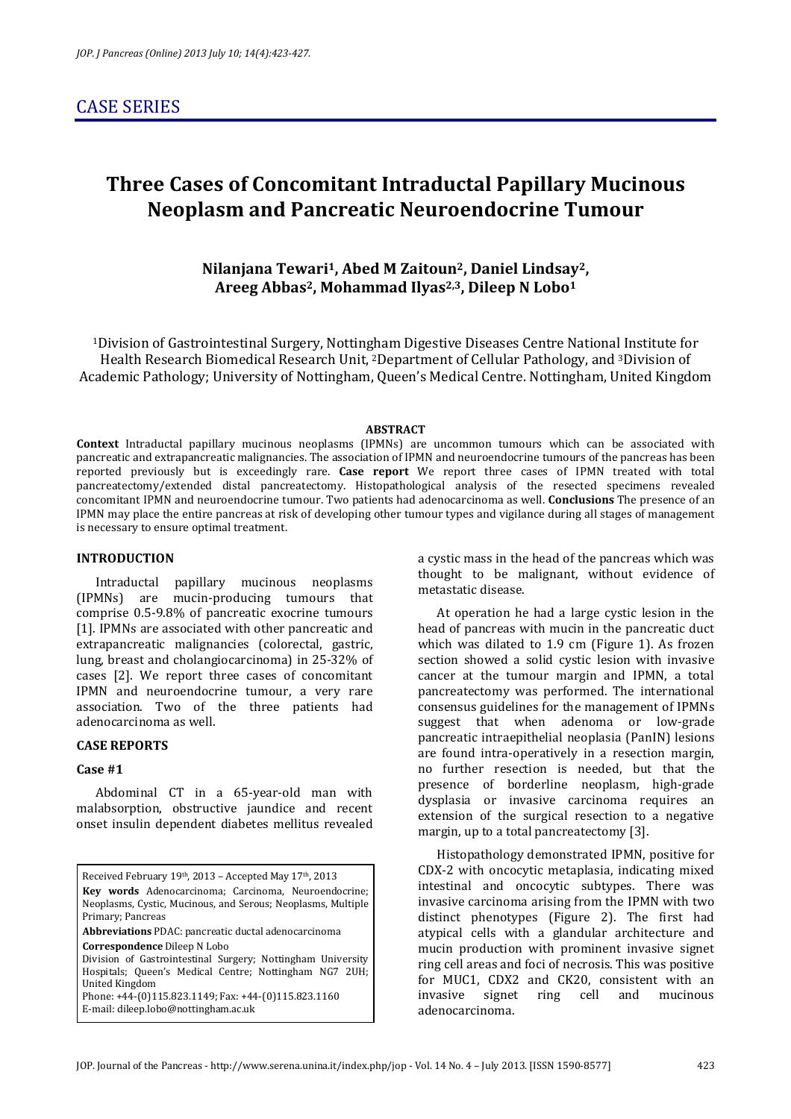# **Three Cases of Concomitant Intraductal Papillary Mucinous Neoplasm and Pancreatic Neuroendocrine Tumour**

**Nilanjana Tewari1, Abed M Zaitoun2, Daniel Lindsay2, Areeg Abbas2, Mohammad Ilyas2,3, Dileep N Lobo<sup>1</sup>**

<sup>1</sup>Division of Gastrointestinal Surgery, Nottingham Digestive Diseases Centre National Institute for Health Research Biomedical Research Unit, 2Department of Cellular Pathology, and 3Division of Academic Pathology; University of Nottingham, Queen's Medical Centre. Nottingham, United Kingdom

#### **ABSTRACT**

**Context** Intraductal papillary mucinous neoplasms (IPMNs) are uncommon tumours which can be associated with pancreatic and extrapancreatic malignancies. The association of IPMN and neuroendocrine tumours of the pancreas has been reported previously but is exceedingly rare. **Case report** We report three cases of IPMN treated with total pancreatectomy/extended distal pancreatectomy. Histopathological analysis of the resected specimens revealed concomitant IPMN and neuroendocrine tumour. Two patients had adenocarcinoma as well. **Conclusions** The presence of an IPMN may place the entire pancreas at risk of developing other tumour types and vigilance during all stages of management is necessary to ensure optimal treatment.

### **INTRODUCTION**

Intraductal papillary mucinous neoplasms (IPMNs) are mucin-producing tumours that comprise 0.5-9.8% of pancreatic exocrine tumours [1]. IPMNs are associated with other pancreatic and extrapancreatic malignancies (colorectal, gastric, lung, breast and cholangiocarcinoma) in 25-32% of cases [2]. We report three cases of concomitant IPMN and neuroendocrine tumour, a very rare association. Two of the three patients had adenocarcinoma as well.

#### **CASE REPORTS**

# **Case #1**

Abdominal CT in a 65-year-old man with malabsorption, obstructive jaundice and recent onset insulin dependent diabetes mellitus revealed

Received February 19th, 2013 - Accepted May 17th, 2013 **Key words** Adenocarcinoma; Carcinoma, Neuroendocrine; Neoplasms, Cystic, Mucinous, and Serous; Neoplasms, Multiple Primary; Pancreas **Abbreviations** PDAC: pancreatic ductal adenocarcinoma **Correspondence** Dileep N Lobo Division of Gastrointestinal Surgery; Nottingham University Hospitals; Queen's Medical Centre; Nottingham NG7 2UH; United Kingdom Phone: +44-(0)115.823.1149; Fax: +44-(0)115.823.1160 E-mail: dileep.lobo@nottingham.ac.uk

a cystic mass in the head of the pancreas which was thought to be malignant, without evidence of metastatic disease.

At operation he had a large cystic lesion in the head of pancreas with mucin in the pancreatic duct which was dilated to 1.9 cm (Figure 1). As frozen section showed a solid cystic lesion with invasive cancer at the tumour margin and IPMN, a total pancreatectomy was performed. The international consensus guidelines for the management of IPMNs suggest that when adenoma or low-grade pancreatic intraepithelial neoplasia (PanIN) lesions are found intra-operatively in a resection margin, no further resection is needed, but that the presence of borderline neoplasm, high-grade dysplasia or invasive carcinoma requires an extension of the surgical resection to a negative margin, up to a total pancreatectomy [3].

Histopathology demonstrated IPMN, positive for CDX-2 with oncocytic metaplasia, indicating mixed intestinal and oncocytic subtypes. There was invasive carcinoma arising from the IPMN with two distinct phenotypes (Figure 2). The first had atypical cells with a glandular architecture and mucin production with prominent invasive signet ring cell areas and foci of necrosis. This was positive for MUC1, CDX2 and CK20, consistent with an invasive signet ring cell and mucinous adenocarcinoma.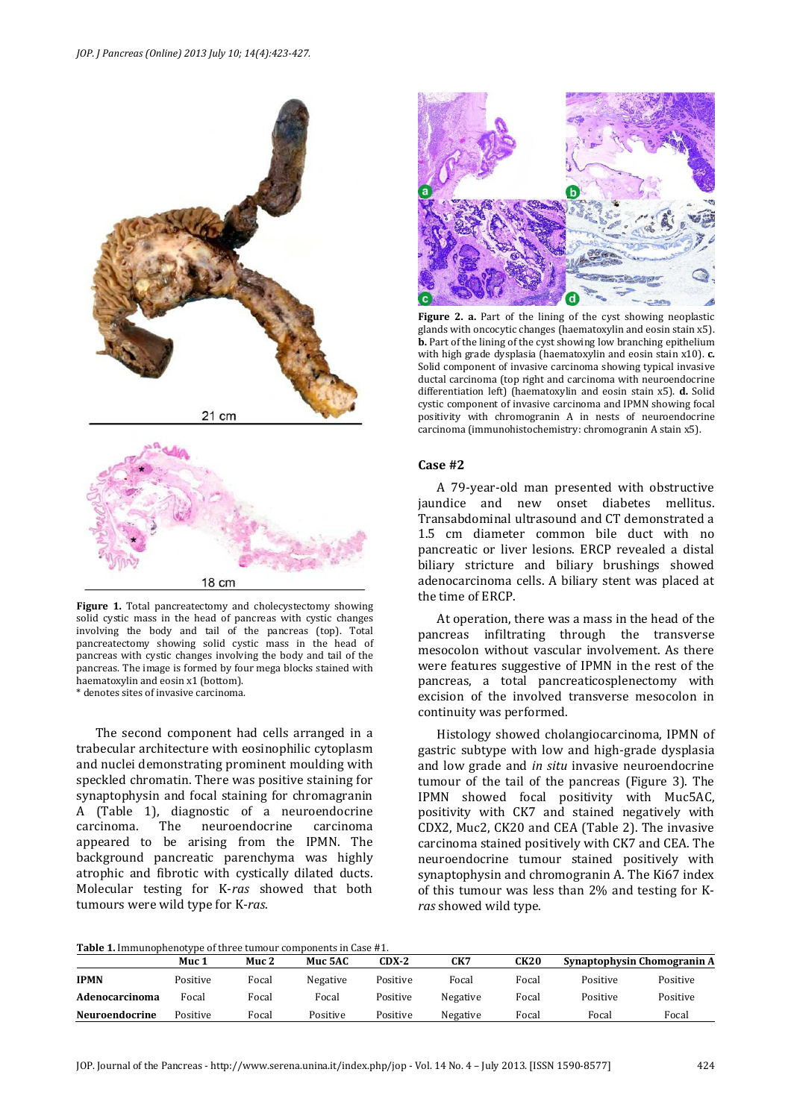

**Figure 1.** Total pancreatectomy and cholecystectomy showing solid cystic mass in the head of pancreas with cystic changes involving the body and tail of the pancreas (top). Total pancreatectomy showing solid cystic mass in the head of pancreas with cystic changes involving the body and tail of the pancreas. The image is formed by four mega blocks stained with haematoxylin and eosin x1 (bottom).

\* denotes sites of invasive carcinoma.

The second component had cells arranged in a trabecular architecture with eosinophilic cytoplasm and nuclei demonstrating prominent moulding with speckled chromatin. There was positive staining for synaptophysin and focal staining for chromagranin A (Table 1), diagnostic of a neuroendocrine carcinoma. The neuroendocrine carcinoma appeared to be arising from the IPMN. The background pancreatic parenchyma was highly atrophic and fibrotic with cystically dilated ducts. Molecular testing for K-*ras* showed that both tumours were wild type for K-*ras*.



**Figure 2. a.** Part of the lining of the cyst showing neoplastic glands with oncocytic changes (haematoxylin and eosin stain x5). **b.** Part of the lining of the cyst showing low branching epithelium with high grade dysplasia (haematoxylin and eosin stain x10). **c.** Solid component of invasive carcinoma showing typical invasive ductal carcinoma (top right and carcinoma with neuroendocrine differentiation left) (haematoxylin and eosin stain x5). **d.** Solid cystic component of invasive carcinoma and IPMN showing focal positivity with chromogranin A in nests of neuroendocrine carcinoma (immunohistochemistry: chromogranin A stain x5).

#### **Case #2**

A 79-year-old man presented with obstructive jaundice and new onset diabetes mellitus. Transabdominal ultrasound and CT demonstrated a 1.5 cm diameter common bile duct with no pancreatic or liver lesions. ERCP revealed a distal biliary stricture and biliary brushings showed adenocarcinoma cells. A biliary stent was placed at the time of ERCP.

At operation, there was a mass in the head of the pancreas infiltrating through the transverse mesocolon without vascular involvement. As there were features suggestive of IPMN in the rest of the pancreas, a total pancreaticosplenectomy with excision of the involved transverse mesocolon in continuity was performed.

Histology showed cholangiocarcinoma, IPMN of gastric subtype with low and high-grade dysplasia and low grade and *in situ* invasive neuroendocrine tumour of the tail of the pancreas (Figure 3). The IPMN showed focal positivity with Muc5AC, positivity with CK7 and stained negatively with CDX2, Muc2, CK20 and CEA (Table 2). The invasive carcinoma stained positively with CK7 and CEA. The neuroendocrine tumour stained positively with synaptophysin and chromogranin A. The Ki67 index of this tumour was less than 2% and testing for K*ras* showed wild type.

| <b>Table 1.</b> Immunophenotype of three tumour components in Case #1. |  |
|------------------------------------------------------------------------|--|
|------------------------------------------------------------------------|--|

|                       | Muc 1    | Muc <sub>2</sub> | Muc 5AC  | CDX-2    | CK7      | CK20  |          | Synaptophysin Chomogranin A |
|-----------------------|----------|------------------|----------|----------|----------|-------|----------|-----------------------------|
| <b>IPMN</b>           | Positive | Focal            | Negative | Positive | Focal    | Focal | Positive | Positive                    |
| Adenocarcinoma        | Focal    | Focal            | Focal    | Positive | Negative | Focal | Positive | Positive                    |
| <b>Neuroendocrine</b> | Positive | Focal            | Positive | Positive | Negative | Focal | Focal    | Focal                       |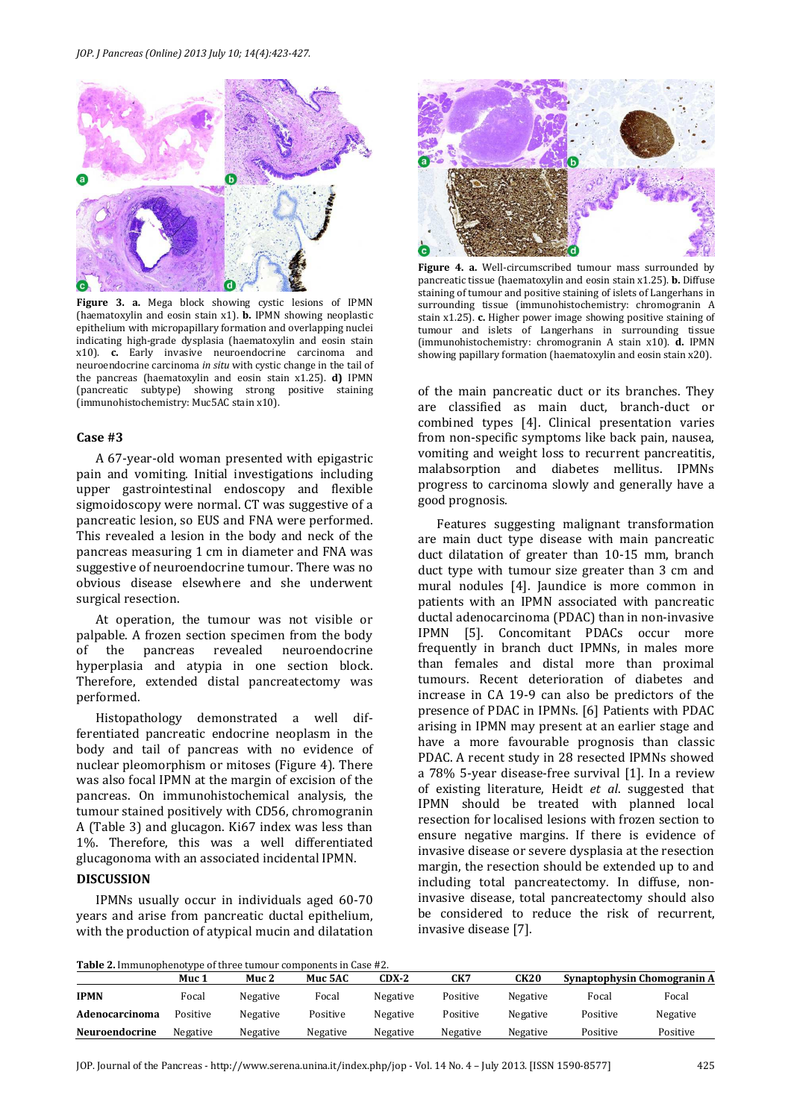

**Figure 3. a.** Mega block showing cystic lesions of IPMN (haematoxylin and eosin stain x1). **b.** IPMN showing neoplastic epithelium with micropapillary formation and overlapping nuclei indicating high-grade dysplasia (haematoxylin and eosin stain x10). **c.** Early invasive neuroendocrine carcinoma and neuroendocrine carcinoma *in situ* with cystic change in the tail of the pancreas (haematoxylin and eosin stain x1.25). **d)** IPMN (pancreatic subtype) showing strong positive staining (immunohistochemistry: Muc5AC stain x10).

# **Case #3**

A 67-year-old woman presented with epigastric pain and vomiting. Initial investigations including upper gastrointestinal endoscopy and flexible sigmoidoscopy were normal. CT was suggestive of a pancreatic lesion, so EUS and FNA were performed. This revealed a lesion in the body and neck of the pancreas measuring 1 cm in diameter and FNA was suggestive of neuroendocrine tumour. There was no obvious disease elsewhere and she underwent surgical resection.

At operation, the tumour was not visible or palpable. A frozen section specimen from the body of the pancreas revealed neuroendocrine hyperplasia and atypia in one section block. Therefore, extended distal pancreatectomy was performed.

Histopathology demonstrated a well differentiated pancreatic endocrine neoplasm in the body and tail of pancreas with no evidence of nuclear pleomorphism or mitoses (Figure 4). There was also focal IPMN at the margin of excision of the pancreas. On immunohistochemical analysis, the tumour stained positively with CD56, chromogranin A (Table 3) and glucagon. Ki67 index was less than 1%. Therefore, this was a well differentiated glucagonoma with an associated incidental IPMN.

# **DISCUSSION**

IPMNs usually occur in individuals aged 60-70 years and arise from pancreatic ductal epithelium, with the production of atypical mucin and dilatation



**Figure 4. a.** Well-circumscribed tumour mass surrounded by pancreatic tissue (haematoxylin and eosin stain x1.25). **b.** Diffuse staining of tumour and positive staining of islets of Langerhans in surrounding tissue (immunohistochemistry: chromogranin A stain x1.25). **c.** Higher power image showing positive staining of tumour and islets of Langerhans in surrounding tissue (immunohistochemistry: chromogranin A stain x10). **d.** IPMN showing papillary formation (haematoxylin and eosin stain x20).

of the main pancreatic duct or its branches. They are classified as main duct, branch-duct or combined types [4]. Clinical presentation varies from non-specific symptoms like back pain, nausea, vomiting and weight loss to recurrent pancreatitis, malabsorption and diabetes mellitus. IPMNs progress to carcinoma slowly and generally have a good prognosis.

Features suggesting malignant transformation are main duct type disease with main pancreatic duct dilatation of greater than 10-15 mm, branch duct type with tumour size greater than 3 cm and mural nodules [4]. Jaundice is more common in patients with an IPMN associated with pancreatic ductal adenocarcinoma (PDAC) than in non-invasive IPMN [5]. Concomitant PDACs occur more frequently in branch duct IPMNs, in males more than females and distal more than proximal tumours. Recent deterioration of diabetes and increase in CA 19-9 can also be predictors of the presence of PDAC in IPMNs. [6] Patients with PDAC arising in IPMN may present at an earlier stage and have a more favourable prognosis than classic PDAC. A recent study in 28 resected IPMNs showed a 78% 5-year disease-free survival [1]. In a review of existing literature, Heidt *et al*. suggested that IPMN should be treated with planned local resection for localised lesions with frozen section to ensure negative margins. If there is evidence of invasive disease or severe dysplasia at the resection margin, the resection should be extended up to and including total pancreatectomy. In diffuse, noninvasive disease, total pancreatectomy should also be considered to reduce the risk of recurrent, invasive disease [7].

**Table 2.** Immunophenotype of three tumour components in Case #2.

| <b>Table 2.</b> Immunophenotype of three tumour components in ease $\pi$ 2. | Muc 1    | Muc 2    | Muc 5AC  | CDX-2    | CK7      | CK20     |          | Synaptophysin Chomogranin A |
|-----------------------------------------------------------------------------|----------|----------|----------|----------|----------|----------|----------|-----------------------------|
| <b>IPMN</b>                                                                 | Focal    | Negative | Focal    | Negative | Positive | Negative | Focal    | Focal                       |
| Adenocarcinoma                                                              | Positive | Negative | Positive | Negative | Positive | Negative | Positive | Negative                    |
| <b>Neuroendocrine</b>                                                       | Negative | Negative | Negative | Negative | Negative | Negative | Positive | Positive                    |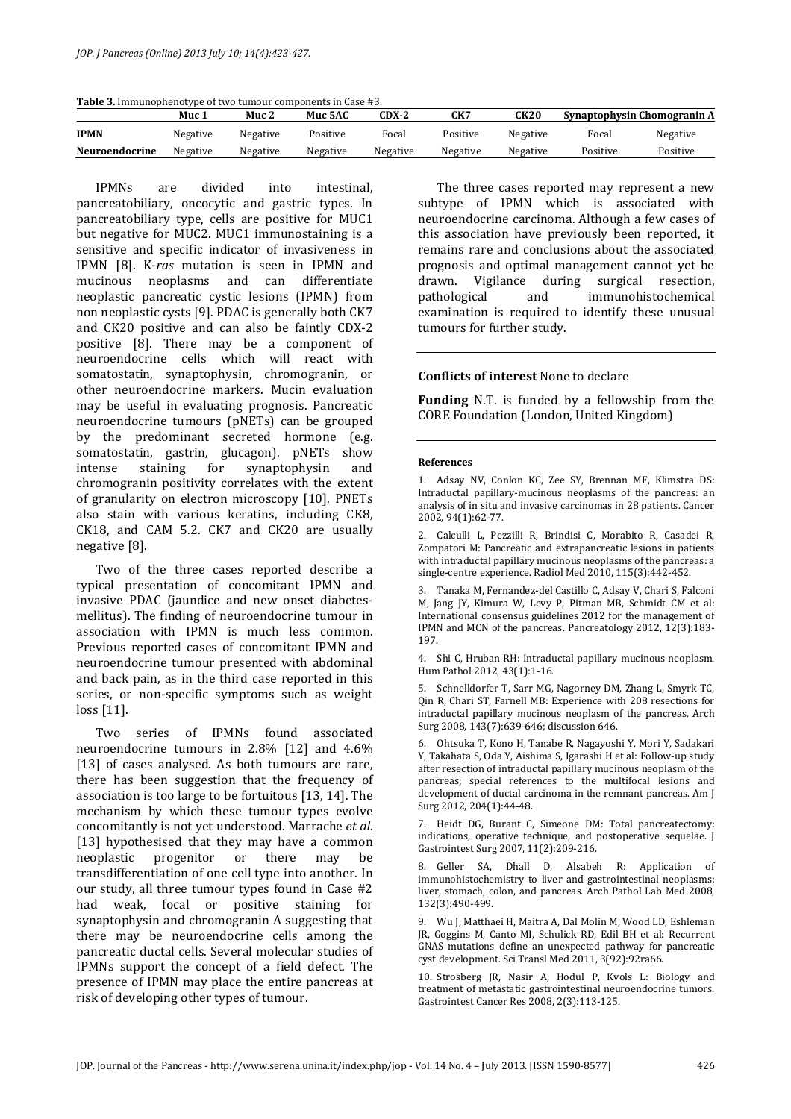| <b>Table 3.</b> Immunophenotype of two tumour components in Case #3. |  |  |  |  |  |  |  |
|----------------------------------------------------------------------|--|--|--|--|--|--|--|
|----------------------------------------------------------------------|--|--|--|--|--|--|--|

|                       | Muc 1    | Muc <sub>2</sub> | Muc 5AC  | CDX-2    | CK7      | CK20     |          | Synaptophysin Chomogranin A |
|-----------------------|----------|------------------|----------|----------|----------|----------|----------|-----------------------------|
| <b>IPMN</b>           | Negative | Negative         | Positive | Focal    | Positive | Negative | Focal    | Negative                    |
| <b>Neuroendocrine</b> | Negative | Negative         | Negative | Negative | Negative | Negative | Positive | Positive                    |

IPMNs are divided into intestinal, pancreatobiliary, oncocytic and gastric types. In pancreatobiliary type, cells are positive for MUC1 but negative for MUC2. MUC1 immunostaining is a sensitive and specific indicator of invasiveness in IPMN [8]. K-*ras* mutation is seen in IPMN and mucinous neoplasms and can differentiate neoplastic pancreatic cystic lesions (IPMN) from non neoplastic cysts [9]. PDAC is generally both CK7 and CK20 positive and can also be faintly CDX-2 positive [8]. There may be a component of neuroendocrine cells which will react with somatostatin, synaptophysin, chromogranin, or other neuroendocrine markers. Mucin evaluation may be useful in evaluating prognosis. Pancreatic neuroendocrine tumours (pNETs) can be grouped by the predominant secreted hormone (e.g. somatostatin, gastrin, glucagon). pNETs show intense staining for synaptophysin and chromogranin positivity correlates with the extent of granularity on electron microscopy [10]. PNETs also stain with various keratins, including CK8, CK18, and CAM 5.2. CK7 and CK20 are usually negative [8].

Two of the three cases reported describe a typical presentation of concomitant IPMN and invasive PDAC (jaundice and new onset diabetesmellitus). The finding of neuroendocrine tumour in association with IPMN is much less common. Previous reported cases of concomitant IPMN and neuroendocrine tumour presented with abdominal and back pain, as in the third case reported in this series, or non-specific symptoms such as weight loss [11].

Two series of IPMNs found associated neuroendocrine tumours in 2.8% [12] and 4.6% [13] of cases analysed. As both tumours are rare, there has been suggestion that the frequency of association is too large to be fortuitous [13, 14]. The mechanism by which these tumour types evolve concomitantly is not yet understood. Marrache *et al*. [13] hypothesised that they may have a common neoplastic progenitor or there may be transdifferentiation of one cell type into another. In our study, all three tumour types found in Case #2 had weak, focal or positive staining for synaptophysin and chromogranin A suggesting that there may be neuroendocrine cells among the pancreatic ductal cells. Several molecular studies of IPMNs support the concept of a field defect. The presence of IPMN may place the entire pancreas at risk of developing other types of tumour.

The three cases reported may represent a new subtype of IPMN which is associated with neuroendocrine carcinoma. Although a few cases of this association have previously been reported, it remains rare and conclusions about the associated prognosis and optimal management cannot yet be drawn. Vigilance during surgical resection, pathological and immunohistochemical examination is required to identify these unusual tumours for further study.

# **Conflicts of interest** None to declare

**Funding** N.T. is funded by a fellowship from the CORE Foundation (London, United Kingdom)

#### **References**

1. Adsay NV, Conlon KC, Zee SY, Brennan MF, Klimstra DS: Intraductal papillary-mucinous neoplasms of the pancreas: an analysis of in situ and invasive carcinomas in 28 patients. Cancer 2002, 94(1):62-77.

2. Calculli L, Pezzilli R, Brindisi C, Morabito R, Casadei R, Zompatori M: Pancreatic and extrapancreatic lesions in patients with intraductal papillary mucinous neoplasms of the pancreas: a single-centre experience. Radiol Med 2010, 115(3):442-452.

3. Tanaka M, Fernandez-del Castillo C, Adsay V, Chari S, Falconi M, Jang JY, Kimura W, Levy P, Pitman MB, Schmidt CM et al: International consensus guidelines 2012 for the management of IPMN and MCN of the pancreas. Pancreatology 2012, 12(3):183- 197.

4. Shi C, Hruban RH: Intraductal papillary mucinous neoplasm. Hum Pathol 2012, 43(1):1-16.

5. Schnelldorfer T, Sarr MG, Nagorney DM, Zhang L, Smyrk TC, Qin R, Chari ST, Farnell MB: Experience with 208 resections for intraductal papillary mucinous neoplasm of the pancreas. Arch Surg 2008, 143(7):639-646; discussion 646.

6. Ohtsuka T, Kono H, Tanabe R, Nagayoshi Y, Mori Y, Sadakari Y, Takahata S, Oda Y, Aishima S, Igarashi H et al: Follow-up study after resection of intraductal papillary mucinous neoplasm of the pancreas; special references to the multifocal lesions and development of ductal carcinoma in the remnant pancreas. Am J Surg 2012, 204(1):44-48.

7. Heidt DG, Burant C, Simeone DM: Total pancreatectomy: indications, operative technique, and postoperative sequelae. J Gastrointest Surg 2007, 11(2):209-216.

8. Geller SA, Dhall D, Alsabeh R: Application of immunohistochemistry to liver and gastrointestinal neoplasms: liver, stomach, colon, and pancreas. Arch Pathol Lab Med 2008, 132(3):490-499.

9. Wu J, Matthaei H, Maitra A, Dal Molin M, Wood LD, Eshleman JR, Goggins M, Canto MI, Schulick RD, Edil BH et al: Recurrent GNAS mutations define an unexpected pathway for pancreatic cyst development. Sci Transl Med 2011, 3(92):92ra66.

10. Strosberg JR, Nasir A, Hodul P, Kvols L: Biology and treatment of metastatic gastrointestinal neuroendocrine tumors. Gastrointest Cancer Res 2008, 2(3):113-125.